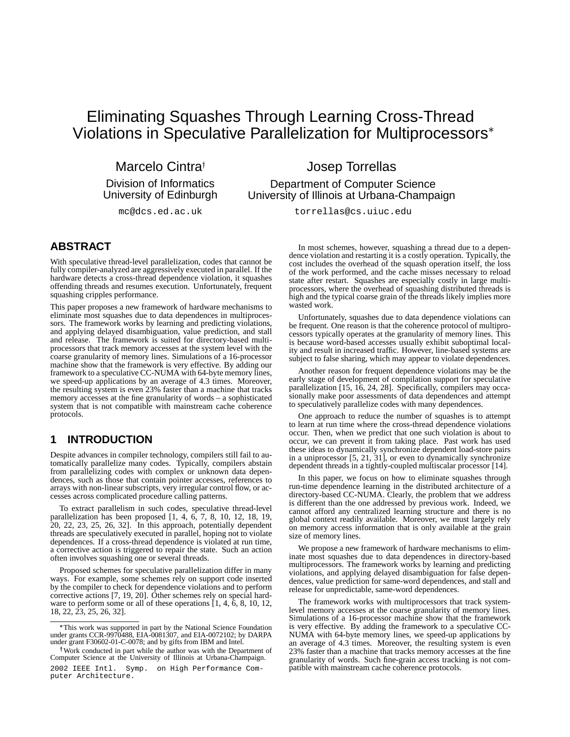# Eliminating Squashes Through Learning Cross-Thread Violations in Speculative Parallelization for Multiprocessors

Marcelo Cintra<sup>+</sup> Division of Informatics University of Edinburgh

mc@dcs.ed.ac.uk

Josep Torrellas Department of Computer Science University of Illinois at Urbana-Champaign

torrellas@cs.uiuc.edu

# **ABSTRACT**

With speculative thread-level parallelization, codes that cannot be fully compiler-analyzed are aggressively executed in parallel. If the hardware detects a cross-thread dependence violation, it squashes offending threads and resumes execution. Unfortunately, frequent squashing cripples performance.

This paper proposes a new framework of hardware mechanisms to eliminate most squashes due to data dependences in multiprocessors. The framework works by learning and predicting violations, and applying delayed disambiguation, value prediction, and stall and release. The framework is suited for directory-based multiprocessors that track memory accesses at the system level with the coarse granularity of memory lines. Simulations of a 16-processor machine show that the framework is very effective. By adding our framework to a speculative CC-NUMA with 64-byte memory lines, we speed-up applications by an average of 4.3 times. Moreover, the resulting system is even 23% faster than a machine that tracks memory accesses at the fine granularity of words – a sophisticated system that is not compatible with mainstream cache coherence protocols.

# **1 INTRODUCTION**

Despite advances in compiler technology, compilers still fail to automatically parallelize many codes. Typically, compilers abstain from parallelizing codes with complex or unknown data dependences, such as those that contain pointer accesses, references to arrays with non-linear subscripts, very irregular control flow, or accesses across complicated procedure calling patterns.

To extract parallelism in such codes, speculative thread-level parallelization has been proposed [1, 4, 6, 7, 8, 10, 12, 18, 19, 20, 22, 23, 25, 26, 32]. In this approach, potentially dependent threads are speculatively executed in parallel, hoping not to violate dependences. If a cross-thread dependence is violated at run time, a corrective action is triggered to repair the state. Such an action often involves squashing one or several threads.

Proposed schemes for speculative parallelization differ in many ways. For example, some schemes rely on support code inserted by the compiler to check for dependence violations and to perform corrective actions [7, 19, 20]. Other schemes rely on special hardware to perform some or all of these operations [1, 4, 6, 8, 10, 12, 18, 22, 23, 25, 26, 32].

In most schemes, however, squashing a thread due to a dependence violation and restarting it is a costly operation. Typically, the cost includes the overhead of the squash operation itself, the loss of the work performed, and the cache misses necessary to reload state after restart. Squashes are especially costly in large multiprocessors, where the overhead of squashing distributed threads is high and the typical coarse grain of the threads likely implies more wasted work.

Unfortunately, squashes due to data dependence violations can be frequent. One reason is that the coherence protocol of multiprocessors typically operates at the granularity of memory lines. This is because word-based accesses usually exhibit suboptimal locality and result in increased traffic. However, line-based systems are subject to false sharing, which may appear to violate dependences.

Another reason for frequent dependence violations may be the early stage of development of compilation support for speculative parallelization [15, 16, 24, 28]. Specifically, compilers may occasionally make poor assessments of data dependences and attempt to speculatively parallelize codes with many dependences.

One approach to reduce the number of squashes is to attempt to learn at run time where the cross-thread dependence violations occur. Then, when we predict that one such violation is about to occur, we can prevent it from taking place. Past work has used these ideas to dynamically synchronize dependent load-store pairs in a uniprocessor [5, 21, 31], or even to dynamically synchronize dependent threads in a tightly-coupled multiscalar processor [14].

In this paper, we focus on how to eliminate squashes through run-time dependence learning in the distributed architecture of a directory-based CC-NUMA. Clearly, the problem that we address is different than the one addressed by previous work. Indeed, we cannot afford any centralized learning structure and there is no global context readily available. Moreover, we must largely rely on memory access information that is only available at the grain size of memory lines.

We propose a new framework of hardware mechanisms to eliminate most squashes due to data dependences in directory-based multiprocessors. The framework works by learning and predicting violations, and applying delayed disambiguation for false dependences, value prediction for same-word dependences, and stall and release for unpredictable, same-word dependences.

The framework works with multiprocessors that track systemlevel memory accesses at the coarse granularity of memory lines. Simulations of a 16-processor machine show that the framework is very effective. By adding the framework to a speculative CC-NUMA with 64-byte memory lines, we speed-up applications by an average of 4.3 times. Moreover, the resulting system is even 23% faster than a machine that tracks memory accesses at the fine granularity of words. Such fine-grain access tracking is not compatible with mainstream cache coherence protocols.

<sup>-</sup> This work was supported in part by the National Science Foundation under grants CCR-9970488, EIA-0081307, and EIA-0072102; by DARPA under grant F30602-01-C-0078; and by gifts from IBM and Intel.

Work conducted in part while the author was with the Department of Computer Science at the University of Illinois at Urbana-Champaign.

<sup>2002</sup> IEEE Intl. Symp. on High Performance Computer Architecture.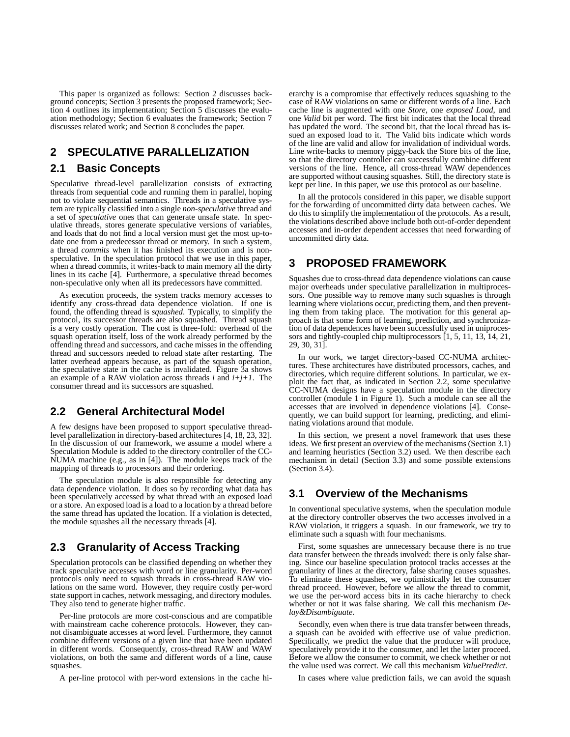This paper is organized as follows: Section 2 discusses background concepts; Section 3 presents the proposed framework; Section 4 outlines its implementation; Section 5 discusses the evaluation methodology; Section 6 evaluates the framework; Section 7 discusses related work; and Section 8 concludes the paper.

# **2 SPECULATIVE PARALLELIZATION**

### **2.1 Basic Concepts**

Speculative thread-level parallelization consists of extracting threads from sequential code and running them in parallel, hoping not to violate sequential semantics. Threads in a speculative system are typically classified into a single *non-speculative* thread and a set of *speculative* ones that can generate unsafe state. In speculative threads, stores generate speculative versions of variables, and loads that do not find a local version must get the most up-todate one from a predecessor thread or memory. In such a system, a thread *commits* when it has finished its execution and is nonspeculative. In the speculation protocol that we use in this paper, when a thread commits, it writes-back to main memory all the dirty lines in its cache [4]. Furthermore, a speculative thread becomes non-speculative only when all its predecessors have committed.

As execution proceeds, the system tracks memory accesses to identify any cross-thread data dependence violation. If one is found, the offending thread is *squashed*. Typically, to simplify the protocol, its successor threads are also squashed. Thread squash is a very costly operation. The cost is three-fold: overhead of the squash operation itself, loss of the work already performed by the offending thread and successors, and cache misses in the offending thread and successors needed to reload state after restarting. The latter overhead appears because, as part of the squash operation, the speculative state in the cache is invalidated. Figure 3a shows an example of a RAW violation across threads *i* and *i+j+1*. The consumer thread and its successors are squashed.

### **2.2 General Architectural Model**

A few designs have been proposed to support speculative threadlevel parallelization in directory-based architectures [4, 18, 23, 32]. In the discussion of our framework, we assume a model where a Speculation Module is added to the directory controller of the CC-NUMA machine (e.g., as in [4]). The module keeps track of the mapping of threads to processors and their ordering.

The speculation module is also responsible for detecting any data dependence violation. It does so by recording what data has been speculatively accessed by what thread with an exposed load or a store. An exposed load is a load to a location by a thread before the same thread has updated the location. If a violation is detected, the module squashes all the necessary threads [4].

### **2.3 Granularity of Access Tracking**

Speculation protocols can be classified depending on whether they track speculative accesses with word or line granularity. Per-word protocols only need to squash threads in cross-thread RAW violations on the same word. However, they require costly per-word state support in caches, network messaging, and directory modules. They also tend to generate higher traffic.

Per-line protocols are more cost-conscious and are compatible with mainstream cache coherence protocols. However, they cannot disambiguate accesses at word level. Furthermore, they cannot combine different versions of a given line that have been updated in different words. Consequently, cross-thread RAW and WAW violations, on both the same and different words of a line, cause squashes.

A per-line protocol with per-word extensions in the cache hi-

erarchy is a compromise that effectively reduces squashing to the case of RAW violations on same or different words of a line. Each cache line is augmented with one *Store*, one *exposed Load*, and one *Valid* bit per word. The first bit indicates that the local thread has updated the word. The second bit, that the local thread has issued an exposed load to it. The Valid bits indicate which words of the line are valid and allow for invalidation of individual words. Line write-backs to memory piggy-back the Store bits of the line, so that the directory controller can successfully combine different versions of the line. Hence, all cross-thread WAW dependences are supported without causing squashes. Still, the directory state is kept per line. In this paper, we use this protocol as our baseline.

In all the protocols considered in this paper, we disable support for the forwarding of uncommitted dirty data between caches. We do this to simplify the implementation of the protocols. As a result, the violations described above include both out-of-order dependent accesses and in-order dependent accesses that need forwarding of uncommitted dirty data.

# **3 PROPOSED FRAMEWORK**

Squashes due to cross-thread data dependence violations can cause major overheads under speculative parallelization in multiprocessors. One possible way to remove many such squashes is through learning where violations occur, predicting them, and then preventing them from taking place. The motivation for this general approach is that some form of learning, prediction, and synchronization of data dependences have been successfully used in uniprocessors and tightly-coupled chip multiprocessors [1, 5, 11, 13, 14, 21, 29, 30, 31].

In our work, we target directory-based CC-NUMA architectures. These architectures have distributed processors, caches, and directories, which require different solutions. In particular, we exploit the fact that, as indicated in Section 2.2, some speculative CC-NUMA designs have a speculation module in the directory controller (module 1 in Figure 1). Such a module can see all the accesses that are involved in dependence violations [4]. Consequently, we can build support for learning, predicting, and eliminating violations around that module.

In this section, we present a novel framework that uses these ideas. We first present an overview of the mechanisms (Section 3.1) and learning heuristics (Section 3.2) used. We then describe each mechanism in detail (Section 3.3) and some possible extensions (Section 3.4).

### **3.1 Overview of the Mechanisms**

In conventional speculative systems, when the speculation module at the directory controller observes the two accesses involved in a RAW violation, it triggers a squash. In our framework, we try to eliminate such a squash with four mechanisms.

First, some squashes are unnecessary because there is no true data transfer between the threads involved: there is only false sharing. Since our baseline speculation protocol tracks accesses at the granularity of lines at the directory, false sharing causes squashes. To eliminate these squashes, we optimistically let the consumer thread proceed. However, before we allow the thread to commit, we use the per-word access bits in its cache hierarchy to check whether or not it was false sharing. We call this mechanism *Delay&Disambiguate*.

Secondly, even when there is true data transfer between threads, a squash can be avoided with effective use of value prediction. Specifically, we predict the value that the producer will produce, speculatively provide it to the consumer, and let the latter proceed. Before we allow the consumer to commit, we check whether or not the value used was correct. We call this mechanism *ValuePredict*.

In cases where value prediction fails, we can avoid the squash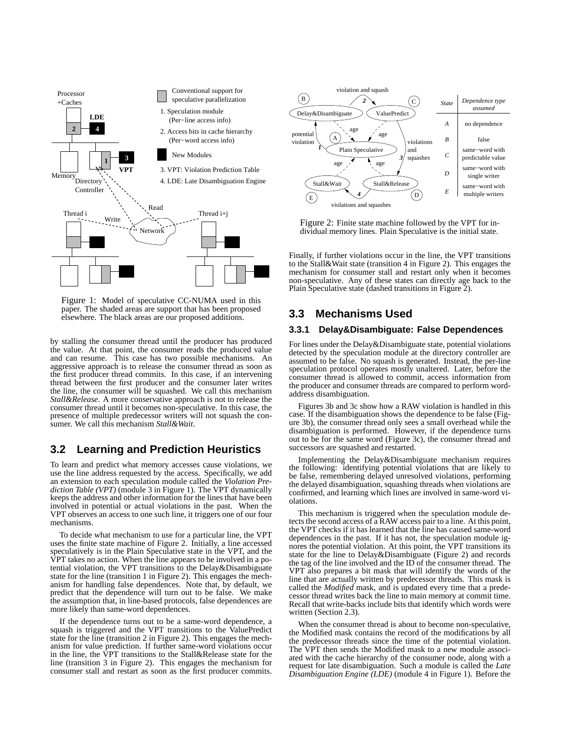

Figure 1: Model of speculative CC-NUMA used in this paper. The shaded areas are support that has been proposed elsewhere. The black areas are our proposed additions.

by stalling the consumer thread until the producer has produced the value. At that point, the consumer reads the produced value and can resume. This case has two possible mechanisms. An aggressive approach is to release the consumer thread as soon as the first producer thread commits. In this case, if an intervening thread between the first producer and the consumer later writes the line, the consumer will be squashed. We call this mechanism *Stall&Release*. A more conservative approach is not to release the consumer thread until it becomes non-speculative. In this case, the presence of multiple predecessor writers will not squash the consumer. We call this mechanism *Stall&Wait*.

# **3.2 Learning and Prediction Heuristics**

To learn and predict what memory accesses cause violations, we use the line address requested by the access. Specifically, we add an extension to each speculation module called the *Violation Prediction Table (VPT)* (module 3 in Figure 1). The VPT dynamically keeps the address and other information for the lines that have been involved in potential or actual violations in the past. When the VPT observes an access to one such line, it triggers one of our four mechanisms.

To decide what mechanism to use for a particular line, the VPT uses the finite state machine of Figure 2. Initially, a line accessed speculatively is in the Plain Speculative state in the VPT, and the VPT takes no action. When the line appears to be involved in a potential violation, the VPT transitions to the Delay&Disambiguate state for the line (transition 1 in Figure 2). This engages the mechanism for handling false dependences. Note that, by default, we predict that the dependence will turn out to be false. We make the assumption that, in line-based protocols, false dependences are more likely than same-word dependences.

If the dependence turns out to be a same-word dependence, a squash is triggered and the VPT transitions to the ValuePredict state for the line (transition 2 in Figure 2). This engages the mechanism for value prediction. If further same-word violations occur in the line, the VPT transitions to the Stall&Release state for the line (transition 3 in Figure 2). This engages the mechanism for consumer stall and restart as soon as the first producer commits.



Figure 2: Finite state machine followed by the VPT for individual memory lines. Plain Speculative is the initial state.

Finally, if further violations occur in the line, the VPT transitions to the Stall&Wait state (transition 4 in Figure 2). This engages the mechanism for consumer stall and restart only when it becomes non-speculative. Any of these states can directly age back to the Plain Speculative state (dashed transitions in Figure 2).

### **3.3 Mechanisms Used**

### **3.3.1 Delay&Disambiguate: False Dependences**

For lines under the Delay&Disambiguate state, potential violations detected by the speculation module at the directory controller are assumed to be false. No squash is generated. Instead, the per-line speculation protocol operates mostly unaltered. Later, before the consumer thread is allowed to commit, access information from the producer and consumer threads are compared to perform wordaddress disambiguation.

Figures 3b and 3c show how a RAW violation is handled in this case. If the disambiguation shows the dependence to be false (Figure 3b), the consumer thread only sees a small overhead while the disambiguation is performed. However, if the dependence turns out to be for the same word (Figure 3c), the consumer thread and successors are squashed and restarted.

Implementing the Delay&Disambiguate mechanism requires the following: identifying potential violations that are likely to be false, remembering delayed unresolved violations, performing the delayed disambiguation, squashing threads when violations are confirmed, and learning which lines are involved in same-word violations.

This mechanism is triggered when the speculation module detects the second access of a RAW access pair to a line. At this point, the VPT checks if it has learned that the line has caused same-word dependences in the past. If it has not, the speculation module ignores the potential violation. At this point, the VPT transitions its state for the line to Delay&Disambiguate (Figure 2) and records the tag of the line involved and the ID of the consumer thread. The VPT also prepares a bit mask that will identify the words of the line that are actually written by predecessor threads. This mask is called the *Modified* mask, and is updated every time that a predecessor thread writes back the line to main memory at commit time. Recall that write-backs include bits that identify which words were written (Section 2.3).

When the consumer thread is about to become non-speculative, the Modified mask contains the record of the modifications by all the predecessor threads since the time of the potential violation. The VPT then sends the Modified mask to a new module associated with the cache hierarchy of the consumer node, along with a request for late disambiguation. Such a module is called the *Late Disambiguation Engine (LDE)* (module 4 in Figure 1). Before the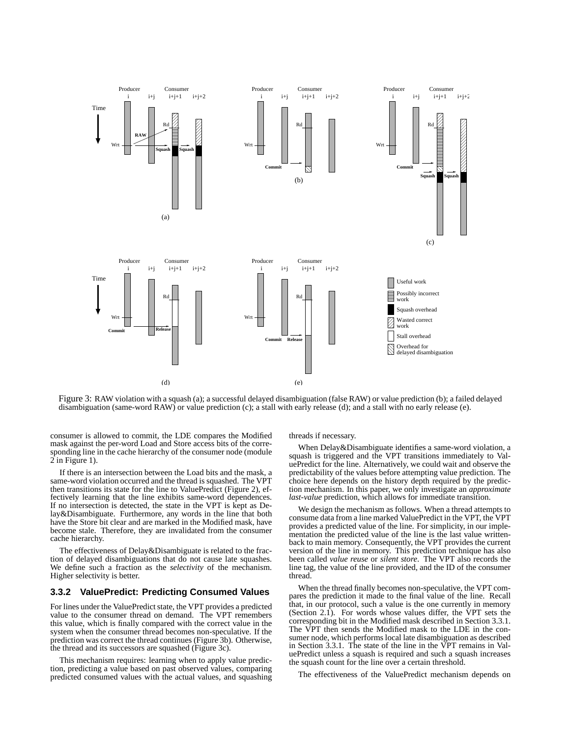

Figure 3: RAW violation with a squash (a); a successful delayed disambiguation (false RAW) or value prediction (b); a failed delayed disambiguation (same-word RAW) or value prediction (c); a stall with early release (d); and a stall with no early release (e).

consumer is allowed to commit, the LDE compares the Modified mask against the per-word Load and Store access bits of the corresponding line in the cache hierarchy of the consumer node (module 2 in Figure 1).

If there is an intersection between the Load bits and the mask, a same-word violation occurred and the thread is squashed. The VPT then transitions its state for the line to ValuePredict (Figure 2), effectively learning that the line exhibits same-word dependences. If no intersection is detected, the state in the VPT is kept as Delay&Disambiguate. Furthermore, any words in the line that both have the Store bit clear and are marked in the Modified mask, have become stale. Therefore, they are invalidated from the consumer cache hierarchy.

The effectiveness of Delay&Disambiguate is related to the fraction of delayed disambiguations that do not cause late squashes. We define such a fraction as the *selectivity* of the mechanism. Higher selectivity is better.

### **3.3.2 ValuePredict: Predicting Consumed Values**

For lines under the ValuePredict state, the VPT provides a predicted value to the consumer thread on demand. The VPT remembers this value, which is finally compared with the correct value in the system when the consumer thread becomes non-speculative. If the prediction was correct the thread continues (Figure 3b). Otherwise, the thread and its successors are squashed (Figure 3c).

This mechanism requires: learning when to apply value prediction, predicting a value based on past observed values, comparing predicted consumed values with the actual values, and squashing threads if necessary.

When Delay&Disambiguate identifies a same-word violation, a squash is triggered and the VPT transitions immediately to ValuePredict for the line. Alternatively, we could wait and observe the predictability of the values before attempting value prediction. The choice here depends on the history depth required by the prediction mechanism. In this paper, we only investigate an *approximate last-value* prediction, which allows for immediate transition.

We design the mechanism as follows. When a thread attempts to consume data from a line marked ValuePredict in the VPT, the VPT provides a predicted value of the line. For simplicity, in our implementation the predicted value of the line is the last value writtenback to main memory. Consequently, the VPT provides the current version of the line in memory. This prediction technique has also been called *value reuse* or *silent store*. The VPT also records the line tag, the value of the line provided, and the ID of the consumer thread.

When the thread finally becomes non-speculative, the VPT compares the prediction it made to the final value of the line. Recall that, in our protocol, such a value is the one currently in memory (Section 2.1). For words whose values differ, the VPT sets the corresponding bit in the Modified mask described in Section 3.3.1. The VPT then sends the Modified mask to the LDE in the consumer node, which performs local late disambiguation as described in Section 3.3.1. The state of the line in the VPT remains in ValuePredict unless a squash is required and such a squash increases the squash count for the line over a certain threshold.

The effectiveness of the ValuePredict mechanism depends on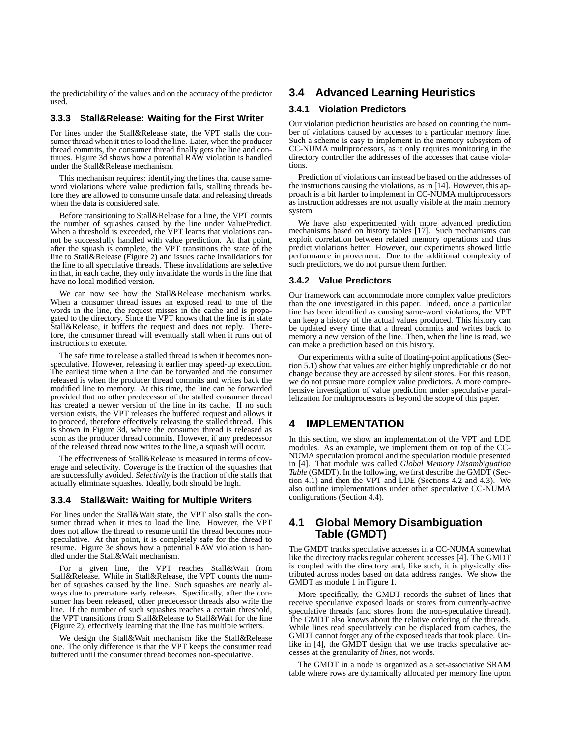the predictability of the values and on the accuracy of the predictor used.

### **3.3.3 Stall&Release: Waiting for the First Writer**

For lines under the Stall&Release state, the VPT stalls the consumer thread when it tries to load the line. Later, when the producer thread commits, the consumer thread finally gets the line and continues. Figure 3d shows how a potential RAW violation is handled under the Stall&Release mechanism.

This mechanism requires: identifying the lines that cause sameword violations where value prediction fails, stalling threads before they are allowed to consume unsafe data, and releasing threads when the data is considered safe.

Before transitioning to Stall&Release for a line, the VPT counts the number of squashes caused by the line under ValuePredict. When a threshold is exceeded, the VPT learns that violations cannot be successfully handled with value prediction. At that point, after the squash is complete, the VPT transitions the state of the line to Stall&Release (Figure 2) and issues cache invalidations for the line to all speculative threads. These invalidations are selective in that, in each cache, they only invalidate the words in the line that have no local modified version.

We can now see how the Stall&Release mechanism works. When a consumer thread issues an exposed read to one of the words in the line, the request misses in the cache and is propagated to the directory. Since the VPT knows that the line is in state Stall&Release, it buffers the request and does not reply. Therefore, the consumer thread will eventually stall when it runs out of instructions to execute.

The safe time to release a stalled thread is when it becomes nonspeculative. However, releasing it earlier may speed-up execution. The earliest time when a line can be forwarded and the consumer released is when the producer thread commits and writes back the modified line to memory. At this time, the line can be forwarded provided that no other predecessor of the stalled consumer thread has created a newer version of the line in its cache. If no such version exists, the VPT releases the buffered request and allows it to proceed, therefore effectively releasing the stalled thread. This is shown in Figure 3d, where the consumer thread is released as soon as the producer thread commits. However, if any predecessor of the released thread now writes to the line, a squash will occur.

The effectiveness of Stall&Release is measured in terms of coverage and selectivity. *Coverage* is the fraction of the squashes that are successfully avoided. *Selectivity* is the fraction of the stalls that actually eliminate squashes. Ideally, both should be high.

#### **3.3.4 Stall&Wait: Waiting for Multiple Writers**

For lines under the Stall&Wait state, the VPT also stalls the consumer thread when it tries to load the line. However, the VPT does not allow the thread to resume until the thread becomes nonspeculative. At that point, it is completely safe for the thread to resume. Figure 3e shows how a potential RAW violation is handled under the Stall&Wait mechanism.

For a given line, the VPT reaches Stall&Wait from Stall&Release. While in Stall&Release, the VPT counts the number of squashes caused by the line. Such squashes are nearly always due to premature early releases. Specifically, after the consumer has been released, other predecessor threads also write the line. If the number of such squashes reaches a certain threshold, the VPT transitions from Stall&Release to Stall&Wait for the line (Figure 2), effectively learning that the line has multiple writers.

We design the Stall&Wait mechanism like the Stall&Release one. The only difference is that the VPT keeps the consumer read buffered until the consumer thread becomes non-speculative.

# **3.4 Advanced Learning Heuristics**

### **3.4.1 Violation Predictors**

Our violation prediction heuristics are based on counting the number of violations caused by accesses to a particular memory line. Such a scheme is easy to implement in the memory subsystem of CC-NUMA multiprocessors, as it only requires monitoring in the directory controller the addresses of the accesses that cause violations.

Prediction of violations can instead be based on the addresses of the instructions causing the violations, as in [14]. However, this approach is a bit harder to implement in CC-NUMA multiprocessors as instruction addresses are not usually visible at the main memory system.

We have also experimented with more advanced prediction mechanisms based on history tables [17]. Such mechanisms can exploit correlation between related memory operations and thus predict violations better. However, our experiments showed little performance improvement. Due to the additional complexity of such predictors, we do not pursue them further.

#### **3.4.2 Value Predictors**

Our framework can accommodate more complex value predictors than the one investigated in this paper. Indeed, once a particular line has been identified as causing same-word violations, the VPT can keep a history of the actual values produced. This history can be updated every time that a thread commits and writes back to memory a new version of the line. Then, when the line is read, we can make a prediction based on this history.

Our experiments with a suite of floating-point applications (Section 5.1) show that values are either highly unpredictable or do not change because they are accessed by silent stores. For this reason, we do not pursue more complex value predictors. A more comprehensive investigation of value prediction under speculative parallelization for multiprocessors is beyond the scope of this paper.

# **4 IMPLEMENTATION**

In this section, we show an implementation of the VPT and LDE modules. As an example, we implement them on top of the CC-NUMA speculation protocol and the speculation module presented in [4]. That module was called *Global Memory Disambiguation Table* (GMDT). In the following, we first describe the GMDT (Section 4.1) and then the VPT and LDE (Sections 4.2 and 4.3). We also outline implementations under other speculative CC-NUMA configurations (Section 4.4).

## **4.1 Global Memory Disambiguation Table (GMDT)**

The GMDT tracks speculative accesses in a CC-NUMA somewhat like the directory tracks regular coherent accesses [4]. The GMDT is coupled with the directory and, like such, it is physically distributed across nodes based on data address ranges. We show the GMDT as module 1 in Figure 1.

More specifically, the GMDT records the subset of lines that receive speculative exposed loads or stores from currently-active speculative threads (and stores from the non-speculative thread). The GMDT also knows about the relative ordering of the threads. While lines read speculatively can be displaced from caches, the GMDT cannot forget any of the exposed reads that took place. Unlike in [4], the GMDT design that we use tracks speculative accesses at the granularity of *lines*, not words.

The GMDT in a node is organized as a set-associative SRAM table where rows are dynamically allocated per memory line upon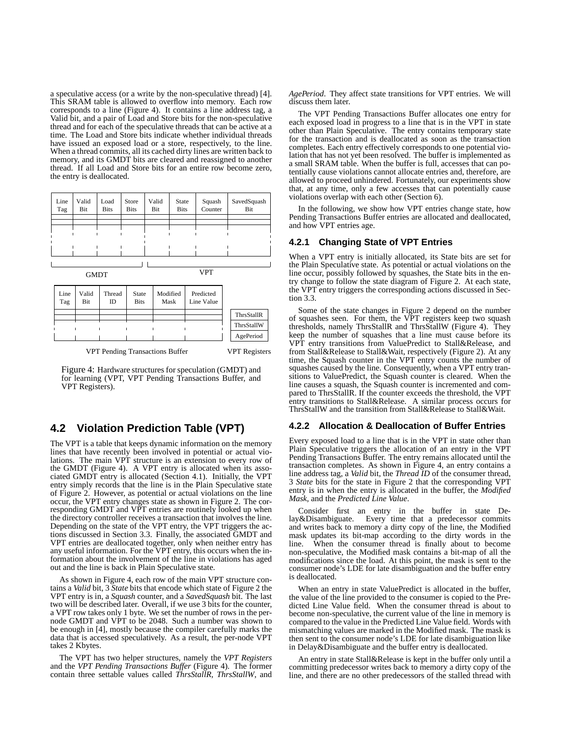a speculative access (or a write by the non-speculative thread) [4]. This SRAM table is allowed to overflow into memory. Each row corresponds to a line (Figure 4). It contains a line address tag, a Valid bit, and a pair of Load and Store bits for the non-speculative thread and for each of the speculative threads that can be active at a time. The Load and Store bits indicate whether individual threads have issued an exposed load or a store, respectively, to the line. When a thread commits, all its cached dirty lines are written back to memory, and its GMDT bits are cleared and reassigned to another thread. If all Load and Store bits for an entire row become zero, the entry is deallocated.



Figure 4: Hardware structures for speculation (GMDT) and for learning (VPT, VPT Pending Transactions Buffer, and VPT Registers).

### **4.2 Violation Prediction Table (VPT)**

The VPT is a table that keeps dynamic information on the memory lines that have recently been involved in potential or actual violations. The main VPT structure is an extension to every row of the GMDT (Figure 4). A VPT entry is allocated when its associated GMDT entry is allocated (Section 4.1). Initially, the VPT entry simply records that the line is in the Plain Speculative state of Figure 2. However, as potential or actual violations on the line occur, the VPT entry changes state as shown in Figure 2. The corresponding GMDT and VPT entries are routinely looked up when the directory controller receives a transaction that involves the line. Depending on the state of the VPT entry, the VPT triggers the actions discussed in Section 3.3. Finally, the associated GMDT and VPT entries are deallocated together, only when neither entry has any useful information. For the VPT entry, this occurs when the information about the involvement of the line in violations has aged out and the line is back in Plain Speculative state.

As shown in Figure 4, each row of the main VPT structure contains a *Valid* bit, 3 *State* bits that encode which state of Figure 2 the VPT entry is in, a *Squash* counter, and a *SavedSquash* bit. The last two will be described later. Overall, if we use 3 bits for the counter, a VPT row takes only 1 byte. We set the number of rows in the pernode GMDT and VPT to be 2048. Such a number was shown to be enough in [4], mostly because the compiler carefully marks the data that is accessed speculatively. As a result, the per-node VPT takes 2 Kbytes.

The VPT has two helper structures, namely the *VPT Registers* and the *VPT Pending Transactions Buffer* (Figure 4). The former contain three settable values called *ThrsStallR*, *ThrsStallW*, and *AgePeriod*. They affect state transitions for VPT entries. We will discuss them later.

The VPT Pending Transactions Buffer allocates one entry for each exposed load in progress to a line that is in the VPT in state other than Plain Speculative. The entry contains temporary state for the transaction and is deallocated as soon as the transaction completes. Each entry effectively corresponds to one potential violation that has not yet been resolved. The buffer is implemented as a small SRAM table. When the buffer is full, accesses that can potentially cause violations cannot allocate entries and, therefore, are allowed to proceed unhindered. Fortunately, our experiments show that, at any time, only a few accesses that can potentially cause violations overlap with each other (Section 6).

In the following, we show how VPT entries change state, how Pending Transactions Buffer entries are allocated and deallocated, and how VPT entries age.

### **4.2.1 Changing State of VPT Entries**

When a VPT entry is initially allocated, its State bits are set for the Plain Speculative state. As potential or actual violations on the line occur, possibly followed by squashes, the State bits in the entry change to follow the state diagram of Figure 2. At each state, the VPT entry triggers the corresponding actions discussed in Section 3.3.

Some of the state changes in Figure 2 depend on the number of squashes seen. For them, the VPT registers keep two squash thresholds, namely ThrsStallR and ThrsStallW (Figure 4). They keep the number of squashes that a line must cause before its VPT entry transitions from ValuePredict to Stall&Release, and from Stall&Release to Stall&Wait, respectively (Figure 2). At any time, the Squash counter in the VPT entry counts the number of squashes caused by the line. Consequently, when a VPT entry transitions to ValuePredict, the Squash counter is cleared. When the line causes a squash, the Squash counter is incremented and compared to ThrsStallR. If the counter exceeds the threshold, the VPT entry transitions to Stall&Release. A similar process occurs for ThrsStallW and the transition from Stall&Release to Stall&Wait.

#### **4.2.2 Allocation & Deallocation of Buffer Entries**

Every exposed load to a line that is in the VPT in state other than Plain Speculative triggers the allocation of an entry in the VPT Pending Transactions Buffer. The entry remains allocated until the transaction completes. As shown in Figure 4, an entry contains a line address tag, a *Valid* bit, the *Thread ID* of the consumer thread, 3 *State* bits for the state in Figure 2 that the corresponding VPT entry is in when the entry is allocated in the buffer, the *Modified Mask*, and the *Predicted Line Value*.

Consider first an entry in the buffer in state Delay&Disambiguate. Every time that a predecessor commits and writes back to memory a dirty copy of the line, the Modified mask updates its bit-map according to the dirty words in the line. When the consumer thread is finally about to become non-speculative, the Modified mask contains a bit-map of all the modifications since the load. At this point, the mask is sent to the consumer node's LDE for late disambiguation and the buffer entry is deallocated.

When an entry in state ValuePredict is allocated in the buffer, the value of the line provided to the consumer is copied to the Predicted Line Value field. When the consumer thread is about to become non-speculative, the current value of the line in memory is compared to the value in the Predicted Line Value field. Words with mismatching values are marked in the Modified mask. The mask is then sent to the consumer node's LDE for late disambiguation like in Delay&Disambiguate and the buffer entry is deallocated.

An entry in state Stall&Release is kept in the buffer only until a committing predecessor writes back to memory a dirty copy of the line, and there are no other predecessors of the stalled thread with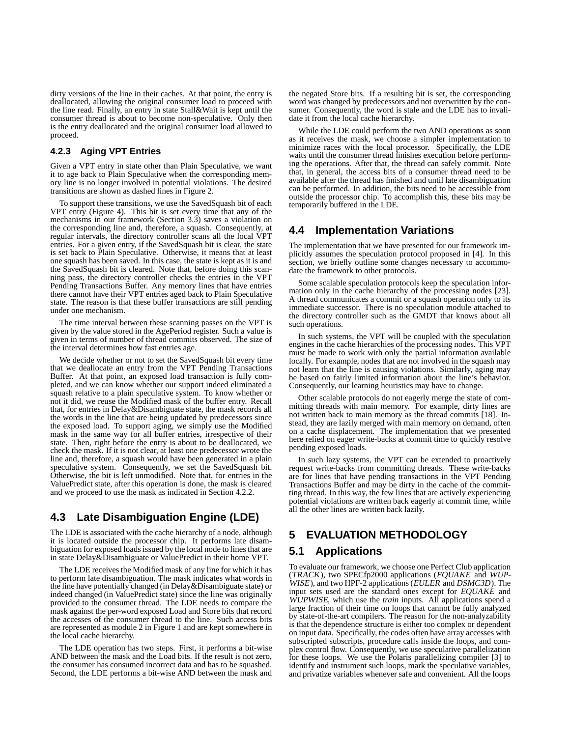dirty versions of the line in their caches. At that point, the entry is deallocated, allowing the original consumer load to proceed with the line read. Finally, an entry in state Stall&Wait is kept until the consumer thread is about to become non-speculative. Only then is the entry deallocated and the original consumer load allowed to proceed.

### **4.2.3 Aging VPT Entries**

Given a VPT entry in state other than Plain Speculative, we want it to age back to Plain Speculative when the corresponding memory line is no longer involved in potential violations. The desired transitions are shown as dashed lines in Figure 2.

To support these transitions, we use the SavedSquash bit of each VPT entry (Figure 4). This bit is set every time that any of the mechanisms in our framework (Section 3.3) saves a violation on the corresponding line and, therefore, a squash. Consequently, at regular intervals, the directory controller scans all the local VPT entries. For a given entry, if the SavedSquash bit is clear, the state is set back to Plain Speculative. Otherwise, it means that at least one squash has been saved. In this case, the state is kept as it is and the SavedSquash bit is cleared. Note that, before doing this scanning pass, the directory controller checks the entries in the VPT Pending Transactions Buffer. Any memory lines that have entries there cannot have their VPT entries aged back to Plain Speculative state. The reason is that these buffer transactions are still pending under one mechanism.

The time interval between these scanning passes on the VPT is given by the value stored in the AgePeriod register. Such a value is given in terms of number of thread commits observed. The size of the interval determines how fast entries age.

We decide whether or not to set the SavedSquash bit every time that we deallocate an entry from the VPT Pending Transactions Buffer. At that point, an exposed load transaction is fully completed, and we can know whether our support indeed eliminated a squash relative to a plain speculative system. To know whether or not it did, we reuse the Modified mask of the buffer entry. Recall that, for entries in Delay&Disambiguate state, the mask records all the words in the line that are being updated by predecessors since the exposed load. To support aging, we simply use the Modified mask in the same way for all buffer entries, irrespective of their state. Then, right before the entry is about to be deallocated, we check the mask. If it is not clear, at least one predecessor wrote the line and, therefore, a squash would have been generated in a plain speculative system. Consequently, we set the SavedSquash bit. Otherwise, the bit is left unmodified. Note that, for entries in the ValuePredict state, after this operation is done, the mask is cleared and we proceed to use the mask as indicated in Section 4.2.2.

# **4.3 Late Disambiguation Engine (LDE)**

The LDE is associated with the cache hierarchy of a node, although it is located outside the processor chip. It performs late disambiguation for exposed loads issued by the local node to lines that are in state Delay&Disambiguate or ValuePredict in their home VPT.

The LDE receives the Modified mask of any line for which it has to perform late disambiguation. The mask indicates what words in the line have potentially changed (in Delay&Disambiguate state) or indeed changed (in ValuePredict state) since the line was originally provided to the consumer thread. The LDE needs to compare the mask against the per-word exposed Load and Store bits that record the accesses of the consumer thread to the line. Such access bits are represented as module 2 in Figure 1 and are kept somewhere in the local cache hierarchy.

The LDE operation has two steps. First, it performs a bit-wise AND between the mask and the Load bits. If the result is not zero, the consumer has consumed incorrect data and has to be squashed. Second, the LDE performs a bit-wise AND between the mask and the negated Store bits. If a resulting bit is set, the corresponding word was changed by predecessors and not overwritten by the consumer. Consequently, the word is stale and the LDE has to invalidate it from the local cache hierarchy.

While the LDE could perform the two AND operations as soon as it receives the mask, we choose a simpler implementation to minimize races with the local processor. Specifically, the LDE waits until the consumer thread finishes execution before performing the operations. After that, the thread can safely commit. Note that, in general, the access bits of a consumer thread need to be available after the thread has finished and until late disambiguation can be performed. In addition, the bits need to be accessible from outside the processor chip. To accomplish this, these bits may be temporarily buffered in the LDE.

### **4.4 Implementation Variations**

The implementation that we have presented for our framework implicitly assumes the speculation protocol proposed in [4]. In this section, we briefly outline some changes necessary to accommodate the framework to other protocols.

Some scalable speculation protocols keep the speculation information only in the cache hierarchy of the processing nodes [23]. A thread communicates a commit or a squash operation only to its immediate successor. There is no speculation module attached to the directory controller such as the GMDT that knows about all such operations.

In such systems, the VPT will be coupled with the speculation engines in the cache hierarchies of the processing nodes. This VPT must be made to work with only the partial information available locally. For example, nodes that are not involved in the squash may not learn that the line is causing violations. Similarly, aging may be based on fairly limited information about the line's behavior. Consequently, our learning heuristics may have to change.

Other scalable protocols do not eagerly merge the state of committing threads with main memory. For example, dirty lines are not written back to main memory as the thread commits [18]. Instead, they are lazily merged with main memory on demand, often on a cache displacement. The implementation that we presented here relied on eager write-backs at commit time to quickly resolve pending exposed loads.

In such lazy systems, the VPT can be extended to proactively request write-backs from committing threads. These write-backs are for lines that have pending transactions in the VPT Pending Transactions Buffer and may be dirty in the cache of the committing thread. In this way, the few lines that are actively experiencing potential violations are written back eagerly at commit time, while all the other lines are written back lazily.

# **5 EVALUATION METHODOLOGY**

### **5.1 Applications**

To evaluate our framework, we choose one Perfect Club application (TRACK), two SPECfp2000 applications (EQUAKE and WUP-WISE), and two HPF-2 applications (EULER and DSMC3D). The input sets used are the standard ones except for EQUAKE and WUPWISE, which use the *train* inputs. All applications spend a large fraction of their time on loops that cannot be fully analyzed by state-of-the-art compilers. The reason for the non-analyzability is that the dependence structure is either too complex or dependent on input data. Specifically, the codes often have array accesses with subscripted subscripts, procedure calls inside the loops, and complex control flow. Consequently, we use speculative parallelization for these loops. We use the Polaris parallelizing compiler [3] to identify and instrument such loops, mark the speculative variables, and privatize variables whenever safe and convenient. All the loops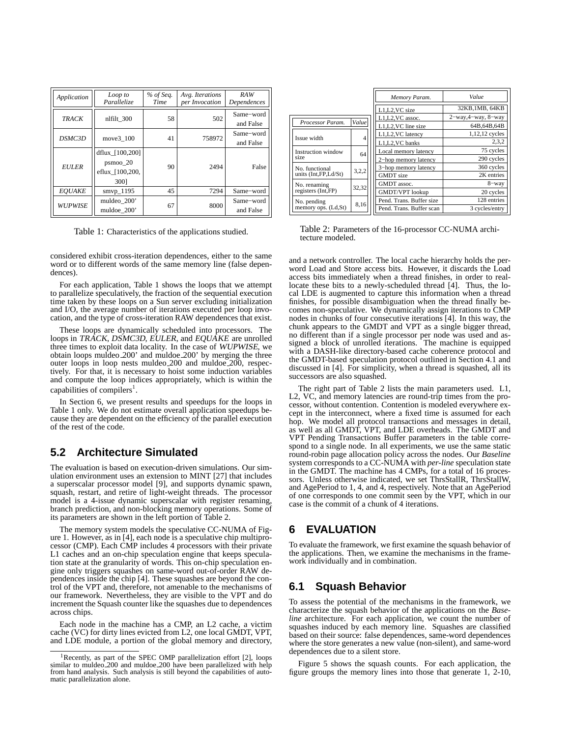| Application    | Loop to<br>Parallelize                                 | % of Seq.<br>Time | Avg. Iterations<br>per Invocation | RAW<br>Dependences     |
|----------------|--------------------------------------------------------|-------------------|-----------------------------------|------------------------|
| <b>TRACK</b>   | nlfilt 300                                             | 58                | 502                               | Same-word<br>and False |
| DSMC3D         | move3 100                                              | 41                | 758972                            | Same-word<br>and False |
| <b>EULER</b>   | dflux [100,200]<br>psmoo 20<br>eflux [100,200,<br>3001 | 90                | 2494                              | False                  |
| <b>EOUAKE</b>  | smvp_1195                                              | 45                | 7294                              | Same-word              |
| <b>WUPWISE</b> | muldeo 200'<br>muldoe 200'                             | 67                | 8000                              | Same-word<br>and False |

Table 1: Characteristics of the applications studied.

considered exhibit cross-iteration dependences, either to the same word or to different words of the same memory line (false dependences).

For each application, Table 1 shows the loops that we attempt to parallelize speculatively, the fraction of the sequential execution time taken by these loops on a Sun server excluding initialization and I/O, the average number of iterations executed per loop invocation, and the type of cross-iteration RAW dependences that exist.

These loops are dynamically scheduled into processors. The loops in TRACK, DSMC3D, EULER, and EQUAKE are unrolled three times to exploit data locality. In the case of WUPWISE, we obtain loops muldeo 200' and muldoe 200' by merging the three outer loops in loop nests muldeo 200 and muldoe 200, respectively. For that, it is necessary to hoist some induction variables and compute the loop indices appropriately, which is within the capabilities of compilers<sup>1</sup>.

In Section 6, we present results and speedups for the loops in Table 1 only. We do not estimate overall application speedups because they are dependent on the efficiency of the parallel execution of the rest of the code.

### **5.2 Architecture Simulated**

The evaluation is based on execution-driven simulations. Our simulation environment uses an extension to MINT [27] that includes a superscalar processor model [9], and supports dynamic spawn, squash, restart, and retire of light-weight threads. The processor model is a 4-issue dynamic superscalar with register renaming, branch prediction, and non-blocking memory operations. Some of its parameters are shown in the left portion of Table 2.

The memory system models the speculative CC-NUMA of Figure 1. However, as in [4], each node is a speculative chip multiprocessor (CMP). Each CMP includes 4 processors with their private L1 caches and an on-chip speculation engine that keeps speculation state at the granularity of words. This on-chip speculation engine only triggers squashes on same-word out-of-order RAW dependences inside the chip [4]. These squashes are beyond the control of the VPT and, therefore, not amenable to the mechanisms of our framework. Nevertheless, they are visible to the VPT and do increment the Squash counter like the squashes due to dependences across chips.

Each node in the machine has a CMP, an L2 cache, a victim cache (VC) for dirty lines evicted from L2, one local GMDT, VPT, and LDE module, a portion of the global memory and directory,

|                      |                | Memory Param.            | Value                        |  |
|----------------------|----------------|--------------------------|------------------------------|--|
|                      |                | L1,L2, VC size           | 32KB, 1MB, 64KB              |  |
|                      |                | L1,L2, VC assoc.         | $2$ -way, $4$ -way, $8$ -way |  |
| Processor Param.     | Value          | L1, L2, VC line size     | 64B.64B.64B                  |  |
| Issue width          | $\overline{4}$ | L1,L2,VC latency         | 1,12,12 cycles               |  |
|                      |                | L1, L2, VC banks         | 2,3,2                        |  |
| Instruction window   | 64             | Local memory latency     | 75 cycles                    |  |
| size                 |                | 2-hop memory latency     | 290 cycles                   |  |
| No. functional       | 3,2,2          | 3-hop memory latency     | 360 cycles                   |  |
| units (Int.FP.Ld/St) |                | <b>GMDT</b> size         | 2K entries                   |  |
| No. renaming         | 32,32          | GMDT assoc.              | $8 -$ way                    |  |
| registers (Int, FP)  |                | <b>GMDT/VPT</b> lookup   | 20 cycles                    |  |
| No. pending          | 8,16           | Pend. Trans. Buffer size | 128 entries                  |  |
| memory ops. (Ld,St)  |                | Pend. Trans. Buffer scan | 3 cycles/entry               |  |

Table 2: Parameters of the 16-processor CC-NUMA architecture modeled.

and a network controller. The local cache hierarchy holds the perword Load and Store access bits. However, it discards the Load access bits immediately when a thread finishes, in order to reallocate these bits to a newly-scheduled thread [4]. Thus, the local LDE is augmented to capture this information when a thread finishes, for possible disambiguation when the thread finally becomes non-speculative. We dynamically assign iterations to CMP nodes in chunks of four consecutive iterations [4]. In this way, the chunk appears to the GMDT and VPT as a single bigger thread, no different than if a single processor per node was used and assigned a block of unrolled iterations. The machine is equipped with a DASH-like directory-based cache coherence protocol and the GMDT-based speculation protocol outlined in Section 4.1 and discussed in [4]. For simplicity, when a thread is squashed, all its successors are also squashed.

The right part of Table 2 lists the main parameters used. L1, L2, VC, and memory latencies are round-trip times from the processor, without contention. Contention is modeled everywhere except in the interconnect, where a fixed time is assumed for each hop. We model all protocol transactions and messages in detail, as well as all GMDT, VPT, and LDE overheads. The GMDT and VPT Pending Transactions Buffer parameters in the table correspond to a single node. In all experiments, we use the same static round-robin page allocation policy across the nodes. Our *Baseline* system corresponds to a CC-NUMA with *per-line* speculation state in the GMDT. The machine has 4 CMPs, for a total of 16 processors. Unless otherwise indicated, we set ThrsStallR, ThrsStallW, and AgePeriod to 1, 4, and 4, respectively. Note that an AgePeriod of one corresponds to one commit seen by the VPT, which in our case is the commit of a chunk of 4 iterations.

### **6 EVALUATION**

To evaluate the framework, we first examine the squash behavior of the applications. Then, we examine the mechanisms in the framework individually and in combination.

### **6.1 Squash Behavior**

To assess the potential of the mechanisms in the framework, we characterize the squash behavior of the applications on the *Baseline* architecture. For each application, we count the number of squashes induced by each memory line. Squashes are classified based on their source: false dependences, same-word dependences where the store generates a new value (non-silent), and same-word dependences due to a silent store.

Figure 5 shows the squash counts. For each application, the figure groups the memory lines into those that generate 1, 2-10,

<sup>&</sup>lt;sup>1</sup>Recently, as part of the SPEC OMP parallelization effort [2], loops similar to muldeo 200 and muldoe 200 have been parallelized with help from hand analysis. Such analysis is still beyond the capabilities of automatic parallelization alone.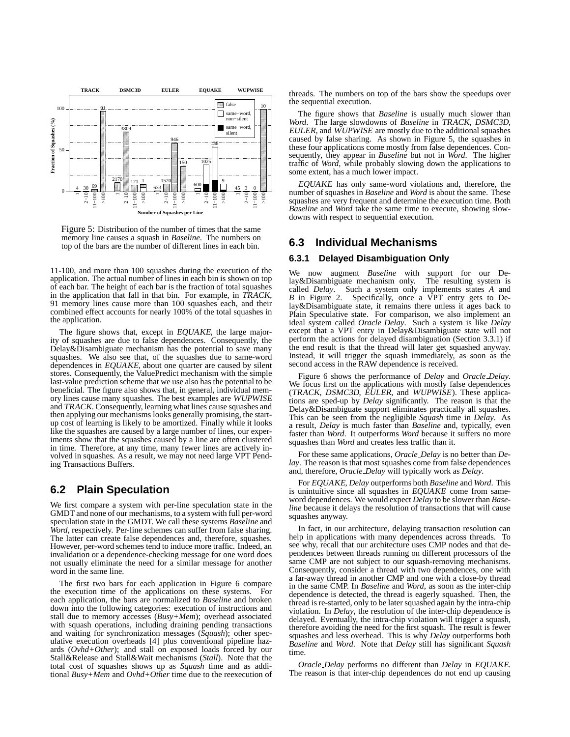

Figure 5: Distribution of the number of times that the same memory line causes a squash in *Baseline*. The numbers on top of the bars are the number of different lines in each bin.

11-100, and more than 100 squashes during the execution of the application. The actual number of lines in each bin is shown on top of each bar. The height of each bar is the fraction of total squashes in the application that fall in that bin. For example, in TRACK, 91 memory lines cause more than 100 squashes each, and their combined effect accounts for nearly 100% of the total squashes in the application.

The figure shows that, except in EQUAKE, the large majority of squashes are due to false dependences. Consequently, the Delay&Disambiguate mechanism has the potential to save many squashes. We also see that, of the squashes due to same-word dependences in EQUAKE, about one quarter are caused by silent stores. Consequently, the ValuePredict mechanism with the simple last-value prediction scheme that we use also has the potential to be beneficial. The figure also shows that, in general, individual memory lines cause many squashes. The best examples are WUPWISE and TRACK. Consequently, learning what lines cause squashes and then applying our mechanisms looks generally promising, the startup cost of learning is likely to be amortized. Finally while it looks like the squashes are caused by a large number of lines, our experiments show that the squashes caused by a line are often clustered in time. Therefore, at any time, many fewer lines are actively involved in squashes. As a result, we may not need large VPT Pending Transactions Buffers.

### **6.2 Plain Speculation**

We first compare a system with per-line speculation state in the GMDT and none of our mechanisms, to a system with full per-word speculation state in the GMDT. We call these systems *Baseline* and *Word*, respectively. Per-line schemes can suffer from false sharing. The latter can create false dependences and, therefore, squashes. However, per-word schemes tend to induce more traffic. Indeed, an invalidation or a dependence-checking message for one word does not usually eliminate the need for a similar message for another word in the same line.

The first two bars for each application in Figure 6 compare the execution time of the applications on these systems. For each application, the bars are normalized to *Baseline* and broken down into the following categories: execution of instructions and stall due to memory accesses (*Busy+Mem*); overhead associated with squash operations, including draining pending transactions and waiting for synchronization messages (*Squash*); other speculative execution overheads [4] plus conventional pipeline hazards (*Ovhd+Other*); and stall on exposed loads forced by our Stall&Release and Stall&Wait mechanisms (*Stall*). Note that the total cost of squashes shows up as *Squash* time and as additional *Busy+Mem* and *Ovhd+Other* time due to the reexecution of

 $\mathbf{t}_{10}$  the sequential execution. threads. The numbers on top of the bars show the speedups over

 $\mathbb{R}$  some extent, has a much lower impact. **traffic of** *Word*, while probably slowing down the applications to **EXECUTE:** sequently, they appear in *Baseline* but not in *Word*. The higher  $\parallel \qquad$  these four applications come mostly from false dependences. Con-**EXECUTE:** caused by false sharing. As shown in Figure 5, the squashes in  $\parallel$  EULER, and WUPWISE are mostly due to the additional squashes **EXECUTE:** Word. The large slowdowns of *Baseline* in TRACK, DSMC3D, **EXECUTE:** The figure shows that *Baseline* is usually much slower than

 $\frac{3}{2}$  or  $\frac{1}{2}$  number of squashes in *Baseline* and *Word* is about the same. These  $\mathbb{E}$  EQUAKE has only same-word violations and, therefore, the squashes are very frequent and determine the execution time. Both *Baseline* and *Word* take the same time to execute, showing slowdowns with respect to sequential execution.

### **6.3 Individual Mechanisms**

#### **6.3.1 Delayed Disambiguation Only**

We now augment *Baseline* with support for our Delay&Disambiguate mechanism only. The resulting system is called *Delay*. Such a system only implements states *A* and *B* in Figure 2. Specifically, once a VPT entry gets to Delay&Disambiguate state, it remains there unless it ages back to Plain Speculative state. For comparison, we also implement an ideal system called *Oracle Delay*. Such a system is like *Delay* except that a VPT entry in Delay&Disambiguate state will not perform the actions for delayed disambiguation (Section 3.3.1) if the end result is that the thread will later get squashed anyway. Instead, it will trigger the squash immediately, as soon as the second access in the RAW dependence is received.

Figure 6 shows the performance of *Delay* and *Oracle Delay*. We focus first on the applications with mostly false dependences (TRACK, DSMC3D, EULER, and WUPWISE). These applications are sped-up by *Delay* significantly. The reason is that the Delay&Disambiguate support eliminates practically all squashes. This can be seen from the negligible *Squash* time in *Delay*. As a result, *Delay* is much faster than *Baseline* and, typically, even faster than *Word*. It outperforms *Word* because it suffers no more squashes than *Word* and creates less traffic than it.

For these same applications, *Oracle Delay* is no better than *Delay*. The reason is that most squashes come from false dependences and, therefore, *Oracle Delay* will typically work as *Delay*.

For EQUAKE, *Delay* outperforms both *Baseline* and *Word*. This is unintuitive since all squashes in EQUAKE come from sameword dependences. We would expect *Delay* to be slower than *Baseline* because it delays the resolution of transactions that will cause squashes anyway.

In fact, in our architecture, delaying transaction resolution can help in applications with many dependences across threads. To see why, recall that our architecture uses CMP nodes and that dependences between threads running on different processors of the same CMP are not subject to our squash-removing mechanisms. Consequently, consider a thread with two dependences, one with a far-away thread in another CMP and one with a close-by thread in the same CMP. In *Baseline* and *Word*, as soon as the inter-chip dependence is detected, the thread is eagerly squashed. Then, the thread is re-started, only to be later squashed again by the intra-chip violation. In *Delay*, the resolution of the inter-chip dependence is delayed. Eventually, the intra-chip violation will trigger a squash, therefore avoiding the need for the first squash. The result is fewer squashes and less overhead. This is why *Delay* outperforms both *Baseline* and *Word*. Note that *Delay* still has significant *Squash* time.

*Oracle Delay* performs no different than *Delay* in EQUAKE. The reason is that inter-chip dependences do not end up causing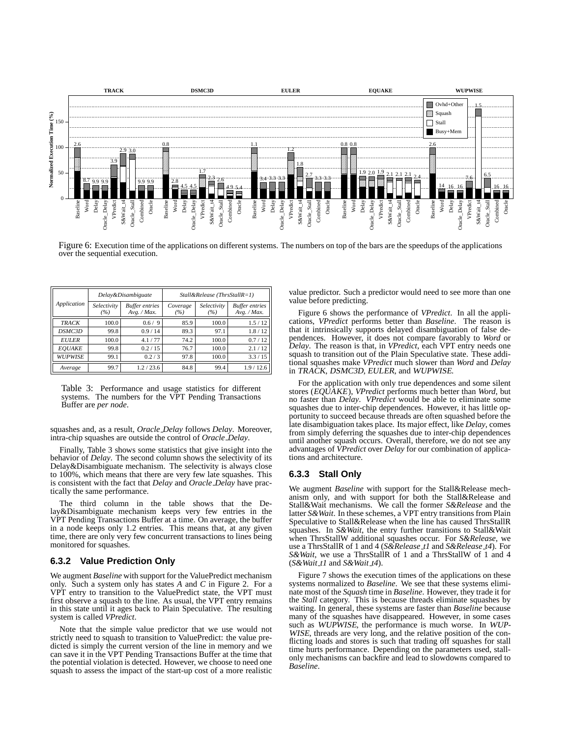

Figure 6: Execution time of the applications on different systems. The numbers on top of the bars are the speedups of the applications over the sequential execution.

| Application    | Delay&Disambiguate |                                      | $Stall&Release (ThrsStallR=1)$ |                    |                                      |
|----------------|--------------------|--------------------------------------|--------------------------------|--------------------|--------------------------------------|
|                | Selectivity<br>(%) | <b>Buffer entries</b><br>Avg. / Max. | Coverage<br>(%)                | Selectivity<br>(%) | <b>Buffer</b> entries<br>Avg. / Max. |
| <b>TRACK</b>   | 100.0              | 0.6 / 9                              | 85.9                           | 100.0              | 1.5/12                               |
| DSMC3D         | 99.8               | 0.9/14                               | 89.3                           | 97.1               | 1.8/12                               |
| <b>EULER</b>   | 100.0              | 4.1/77                               | 74.2                           | 100.0              | 0.7/12                               |
| <b>EOUAKE</b>  | 99.8               | 0.2 / 15                             | 76.7                           | 100.0              | 2.1/12                               |
| <b>WUPWISE</b> | 99.1               | 0.2/3                                | 97.8                           | 100.0              | 3.3 / 15                             |
| Average        | 99.7               | 1.2/23.6                             | 84.8                           | 99.4               | 1.9/12.6                             |

Table 3: Performance and usage statistics for different systems. The numbers for the VPT Pending Transactions Buffer are *per node*.

squashes and, as a result, *Oracle Delay* follows *Delay*. Moreover, intra-chip squashes are outside the control of *Oracle Delay*.

Finally, Table 3 shows some statistics that give insight into the behavior of *Delay*. The second column shows the selectivity of its Delay&Disambiguate mechanism. The selectivity is always close to 100%, which means that there are very few late squashes. This is consistent with the fact that *Delay* and *Oracle Delay* have practically the same performance.

The third column in the table shows that the Delay&Disambiguate mechanism keeps very few entries in the VPT Pending Transactions Buffer at a time. On average, the buffer in a node keeps only 1.2 entries. This means that, at any given time, there are only very few concurrent transactions to lines being monitored for squashes.

### **6.3.2 Value Prediction Only**

We augment *Baseline* with support for the ValuePredict mechanism only. Such a system only has states *A* and *C* in Figure 2. For a VPT entry to transition to the ValuePredict state, the VPT must first observe a squash to the line. As usual, the VPT entry remains in this state until it ages back to Plain Speculative. The resulting system is called *VPredict*.

Note that the simple value predictor that we use would not strictly need to squash to transition to ValuePredict: the value predicted is simply the current version of the line in memory and we can save it in the VPT Pending Transactions Buffer at the time that the potential violation is detected. However, we choose to need one squash to assess the impact of the start-up cost of a more realistic value predictor. Such a predictor would need to see more than one value before predicting.

Figure 6 shows the performance of *VPredict*. In all the applications, *VPredict* performs better than *Baseline*. The reason is that it intrinsically supports delayed disambiguation of false dependences. However, it does not compare favorably to *Word* or *Delay*. The reason is that, in *VPredict*, each VPT entry needs one squash to transition out of the Plain Speculative state. These additional squashes make *VPredict* much slower than *Word* and *Delay* in TRACK, DSMC3D, EULER, and WUPWISE.

For the application with only true dependences and some silent stores (EQUAKE), *VPredict* performs much better than *Word*, but no faster than *Delay*. *VPredict* would be able to eliminate some squashes due to inter-chip dependences. However, it has little opportunity to succeed because threads are often squashed before the late disambiguation takes place. Its major effect, like *Delay*, comes from simply deferring the squashes due to inter-chip dependences until another squash occurs. Overall, therefore, we do not see any advantages of *VPredict* over *Delay* for our combination of applications and architecture.

### **6.3.3 Stall Only**

We augment *Baseline* with support for the Stall&Release mechanism only, and with support for both the Stall&Release and Stall&Wait mechanisms. We call the former *S&Release* and the latter *S&Wait*. In these schemes, a VPT entry transitions from Plain Speculative to Stall&Release when the line has caused ThrsStallR squashes. In *S&Wait*, the entry further transitions to Stall&Wait when ThrsStallW additional squashes occur. For *S&Release*, we use a ThrsStallR of 1 and 4 (*S&Release t1* and *S&Release t4*). For *S&Wait*, we use a ThrsStallR of 1 and a ThrsStallW of 1 and 4 (*S&Wait t1* and *S&Wait t4*).

Figure 7 shows the execution times of the applications on these systems normalized to *Baseline*. We see that these systems eliminate most of the *Squash* time in *Baseline*. However, they trade it for the *Stall* category. This is because threads eliminate squashes by waiting. In general, these systems are faster than *Baseline* because many of the squashes have disappeared. However, in some cases such as WUPWISE, the performance is much worse. In WUP-WISE, threads are very long, and the relative position of the conflicting loads and stores is such that trading off squashes for stall time hurts performance. Depending on the parameters used, stallonly mechanisms can backfire and lead to slowdowns compared to *Baseline*.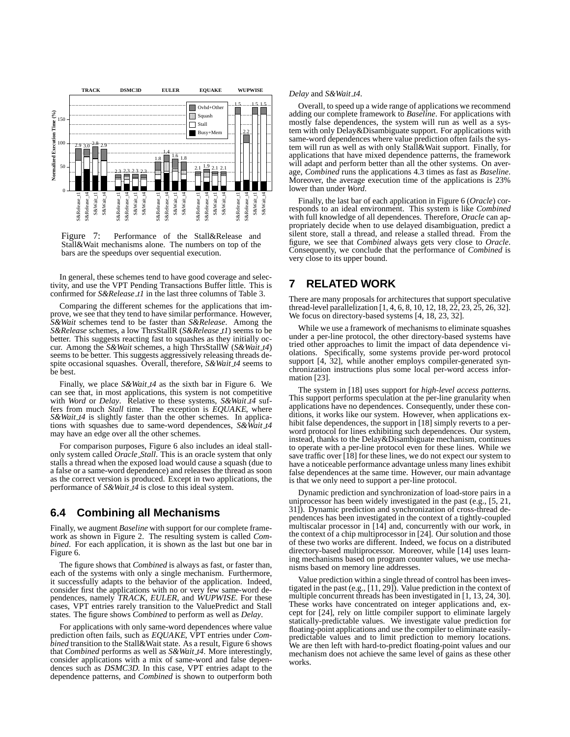

Figure 7: Performance of the Stall&Release and Stall&Wait mechanisms alone. The numbers on top of the bars are the speedups over sequential execution.

In general, these schemes tend to have good coverage and selectivity, and use the VPT Pending Transactions Buffer little. This is confirmed for *S&Release t1* in the last three columns of Table 3.

Comparing the different schemes for the applications that improve, we see that they tend to have similar performance. However, *S&Wait* schemes tend to be faster than *S&Release*. Among the *S&Release* schemes, a low ThrsStallR (*S&Release t1*) seems to be better. This suggests reacting fast to squashes as they initially occur. Among the *S&Wait* schemes, a high ThrsStallW (*S&Wait t4*) seems to be better. This suggests aggressively releasing threads despite occasional squashes. Overall, therefore, *S&Wait t4* seems to be best.

Finally, we place *S&Wait t4* as the sixth bar in Figure 6. We can see that, in most applications, this system is not competitive with *Word* or *Delay*. Relative to these systems, *S&Wait*  $t$ 4 suffers from much *Stall* time. The exception is EQUAKE, where *S&Wait t4* is slightly faster than the other schemes. In applications with squashes due to same-word dependences, *S&Wait t4* may have an edge over all the other schemes.

For comparison purposes, Figure 6 also includes an ideal stallonly system called *Oracle Stall*. This is an oracle system that only stalls a thread when the exposed load would cause a squash (due to a false or a same-word dependence) and releases the thread as soon as the correct version is produced. Except in two applications, the performance of *S&Wait t4* is close to this ideal system.

### **6.4 Combining all Mechanisms**

Finally, we augment *Baseline* with support for our complete framework as shown in Figure 2. The resulting system is called *Combined*. For each application, it is shown as the last but one bar in Figure 6.

The figure shows that *Combined* is always as fast, or faster than, each of the systems with only a single mechanism. Furthermore, it successfully adapts to the behavior of the application. Indeed, consider first the applications with no or very few same-word dependences, namely TRACK, EULER, and WUPWISE. For these cases, VPT entries rarely transition to the ValuePredict and Stall states. The figure shows *Combined* to perform as well as *Delay*.

For applications with only same-word dependences where value prediction often fails, such as EQUAKE, VPT entries under *Combined* transition to the Stall&Wait state. As a result, Figure 6 shows that *Combined* performs as well as *S&Wait t4*. More interestingly, consider applications with a mix of same-word and false dependences such as DSMC3D. In this case, VPT entries adapt to the dependence patterns, and *Combined* is shown to outperform both

#### *Delay* and *S&Wait t4*.

 $\Box$   $\Box$   $\Box$  same-word dependences where value prediction often fails the sys- $\Box$ |  $\Box$ | tem will run as well as with only Stall & Wait support. Finally, for HH— adding our complete framework to *Baseline*. For applications with Overall, to speed up a wide range of applications we recommend mostly false dependences, the system will run as well as a system with only Delay&Disambiguate support. For applications with applications that have mixed dependence patterns, the framework will adapt and perform better than all the other systems. On average, *Combined* runs the applications 4.3 times as fast as *Baseline*. Moreover, the average execution time of the applications is 23% lower than under *Word*.

> Finally, the last bar of each application in Figure 6 (*Oracle*) corresponds to an ideal environment. This system is like *Combined* with full knowledge of all dependences. Therefore, *Oracle* can appropriately decide when to use delayed disambiguation, predict a silent store, stall a thread, and release a stalled thread. From the figure, we see that *Combined* always gets very close to *Oracle*. Consequently, we conclude that the performance of *Combined* is very close to its upper bound.

# **7 RELATED WORK**

There are many proposals for architectures that support speculative thread-level parallelization [1, 4, 6, 8, 10, 12, 18, 22, 23, 25, 26, 32]. We focus on directory-based systems [4, 18, 23, 32].

While we use a framework of mechanisms to eliminate squashes under a per-line protocol, the other directory-based systems have tried other approaches to limit the impact of data dependence violations. Specifically, some systems provide per-word protocol support [4, 32], while another employs compiler-generated synchronization instructions plus some local per-word access information [23].

The system in [18] uses support for *high-level access patterns*. This support performs speculation at the per-line granularity when applications have no dependences. Consequently, under these conditions, it works like our system. However, when applications exhibit false dependences, the support in [18] simply reverts to a perword protocol for lines exhibiting such dependences. Our system, instead, thanks to the Delay&Disambiguate mechanism, continues to operate with a per-line protocol even for these lines. While we save traffic over [18] for these lines, we do not expect our system to have a noticeable performance advantage unless many lines exhibit false dependences at the same time. However, our main advantage is that we only need to support a per-line protocol.

Dynamic prediction and synchronization of load-store pairs in a uniprocessor has been widely investigated in the past (e.g., [5, 21, 31]). Dynamic prediction and synchronization of cross-thread dependences has been investigated in the context of a tightly-coupled multiscalar processor in [14] and, concurrently with our work, in the context of a chip multiprocessor in [24]. Our solution and those of these two works are different. Indeed, we focus on a distributed directory-based multiprocessor. Moreover, while [14] uses learning mechanisms based on program counter values, we use mechanisms based on memory line addresses.

Value prediction within a single thread of control has been investigated in the past (e.g., [11, 29]). Value prediction in the context of multiple concurrent threads has been investigated in [1, 13, 24, 30]. These works have concentrated on integer applications and, except for [24], rely on little compiler support to eliminate largely statically-predictable values. We investigate value prediction for floating-point applications and use the compiler to eliminate easilypredictable values and to limit prediction to memory locations. We are then left with hard-to-predict floating-point values and our mechanism does not achieve the same level of gains as these other works.